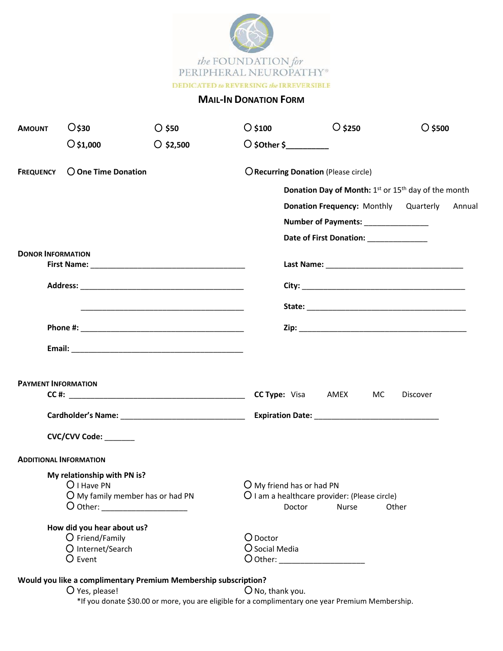

## **MAIL-IN DONATION FORM**

| <b>AMOUNT</b>                      | $O$ \$30                      | $O$ \$50                                                        | $\bigcirc$ \$100                                                            | $\bigcirc$ \$250                                       | $\bigcirc$ \$500 |  |  |
|------------------------------------|-------------------------------|-----------------------------------------------------------------|-----------------------------------------------------------------------------|--------------------------------------------------------|------------------|--|--|
|                                    | $\bigcirc$ \$1,000            | $\bigcirc$ \$2,500                                              | $\bigcirc$ \$0ther \$                                                       |                                                        |                  |  |  |
| <b>FREQUENCY</b>                   | $\bigcirc$ One Time Donation  |                                                                 | O Recurring Donation (Please circle)                                        |                                                        |                  |  |  |
|                                    |                               |                                                                 | Donation Day of Month: 1 <sup>st</sup> or 15 <sup>th</sup> day of the month |                                                        |                  |  |  |
|                                    |                               |                                                                 |                                                                             | Donation Frequency: Monthly Quarterly                  | Annual           |  |  |
|                                    |                               |                                                                 |                                                                             | Number of Payments: ______________                     |                  |  |  |
|                                    |                               |                                                                 |                                                                             | Date of First Donation: ____________                   |                  |  |  |
| <b>DONOR INFORMATION</b>           |                               |                                                                 |                                                                             |                                                        |                  |  |  |
|                                    |                               |                                                                 |                                                                             |                                                        |                  |  |  |
|                                    |                               |                                                                 |                                                                             |                                                        |                  |  |  |
|                                    |                               |                                                                 |                                                                             |                                                        |                  |  |  |
|                                    |                               |                                                                 |                                                                             |                                                        |                  |  |  |
|                                    |                               |                                                                 |                                                                             |                                                        |                  |  |  |
|                                    |                               |                                                                 |                                                                             |                                                        |                  |  |  |
| <b>PAYMENT INFORMATION</b>         |                               |                                                                 |                                                                             |                                                        |                  |  |  |
|                                    |                               |                                                                 | <b>CC Type:</b> Visa AMEX                                                   | MC                                                     | <b>Discover</b>  |  |  |
|                                    |                               |                                                                 |                                                                             |                                                        |                  |  |  |
|                                    | CVC/CVV Code: _______         |                                                                 |                                                                             |                                                        |                  |  |  |
|                                    | <b>ADDITIONAL INFORMATION</b> |                                                                 |                                                                             |                                                        |                  |  |  |
|                                    | My relationship with PN is?   |                                                                 |                                                                             |                                                        |                  |  |  |
|                                    | $\bigcup$ I Have PN           |                                                                 | $O$ My friend has or had PN                                                 |                                                        |                  |  |  |
| $O$ My family member has or had PN |                               |                                                                 | Doctor                                                                      | O I am a healthcare provider: (Please circle)<br>Nurse | Other            |  |  |
|                                    |                               |                                                                 |                                                                             |                                                        |                  |  |  |
|                                    | How did you hear about us?    |                                                                 |                                                                             |                                                        |                  |  |  |
| O Friend/Family                    |                               | O Doctor                                                        |                                                                             |                                                        |                  |  |  |
| O Internet/Search                  |                               |                                                                 | $\bigcirc$ Social Media                                                     |                                                        |                  |  |  |
| O Event                            |                               |                                                                 | O Other: _____________________                                              |                                                        |                  |  |  |
|                                    |                               | Would you like a complimentary Premium Membership subscription? |                                                                             |                                                        |                  |  |  |
|                                    | O Yes, please!                |                                                                 | $O$ No, thank you.                                                          |                                                        |                  |  |  |
|                                    |                               |                                                                 |                                                                             |                                                        |                  |  |  |

\*If you donate \$30.00 or more, you are eligible for a complimentary one year Premium Membership.